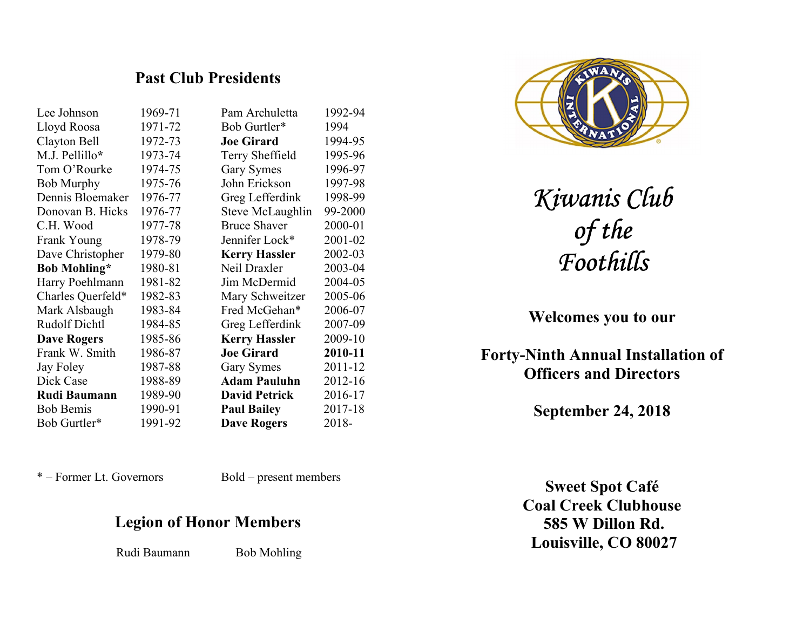## Past Club Presidents

| Lee Johnson          | 1969-71 | Pam Archuletta       | 1992-94 |
|----------------------|---------|----------------------|---------|
| Lloyd Roosa          | 1971-72 | Bob Gurtler*         | 1994    |
| Clayton Bell         | 1972-73 | <b>Joe Girard</b>    | 1994-95 |
| M.J. Pellillo*       | 1973-74 | Terry Sheffield      | 1995-96 |
| Tom O'Rourke         | 1974-75 | <b>Gary Symes</b>    | 1996-97 |
| <b>Bob Murphy</b>    | 1975-76 | John Erickson        | 1997-98 |
| Dennis Bloemaker     | 1976-77 | Greg Lefferdink      | 1998-99 |
| Donovan B. Hicks     | 1976-77 | Steve McLaughlin     | 99-2000 |
| C.H. Wood            | 1977-78 | <b>Bruce Shaver</b>  | 2000-01 |
| Frank Young          | 1978-79 | Jennifer Lock*       | 2001-02 |
| Dave Christopher     | 1979-80 | <b>Kerry Hassler</b> | 2002-03 |
| <b>Bob Mohling*</b>  | 1980-81 | Neil Draxler         | 2003-04 |
| Harry Poehlmann      | 1981-82 | Jim McDermid         | 2004-05 |
| Charles Querfeld*    | 1982-83 | Mary Schweitzer      | 2005-06 |
| Mark Alsbaugh        | 1983-84 | Fred McGehan*        | 2006-07 |
| <b>Rudolf Dichtl</b> | 1984-85 | Greg Lefferdink      | 2007-09 |
| <b>Dave Rogers</b>   | 1985-86 | <b>Kerry Hassler</b> | 2009-10 |
| Frank W. Smith       | 1986-87 | <b>Joe Girard</b>    | 2010-11 |
| Jay Foley            | 1987-88 | <b>Gary Symes</b>    | 2011-12 |
| Dick Case            | 1988-89 | <b>Adam Pauluhn</b>  | 2012-16 |
| <b>Rudi Baumann</b>  | 1989-90 | <b>David Petrick</b> | 2016-17 |
| <b>Bob Bemis</b>     | 1990-91 | <b>Paul Bailey</b>   | 2017-18 |
| Bob Gurtler*         | 1991-92 | <b>Dave Rogers</b>   | 2018-   |
|                      |         |                      |         |

\* – Former Lt. Governors Bold – present members

# Legion of Honor Members

Rudi Baumann Bob Mohling



Kiwanis Club of the Foothills

Welcomes you to our

Forty-Ninth Annual Installation of Officers and Directors

September 24, 2018

Sweet Spot Café Coal Creek Clubhouse 585 W Dillon Rd. Louisville, CO 80027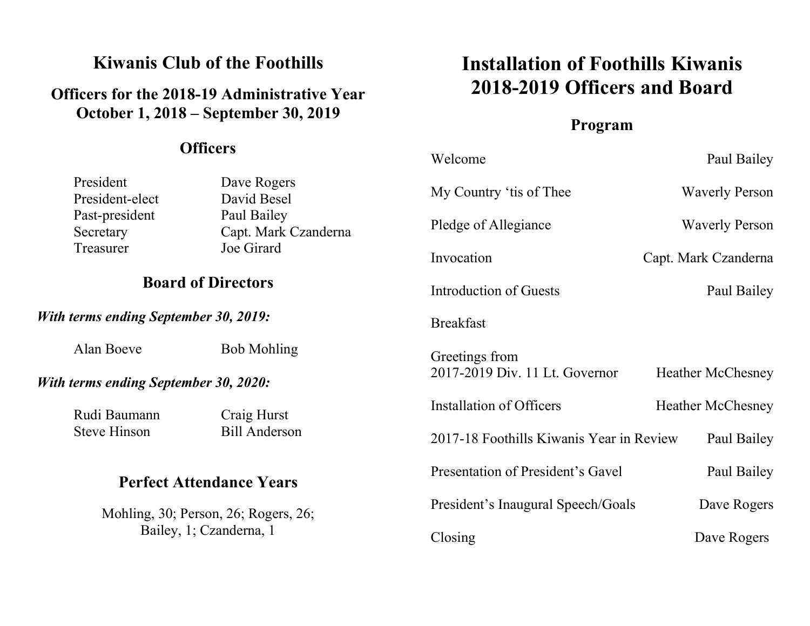# Kiwanis Club of the Foothills

# Officers for the 2018-19 Administrative Year October 1, 2018 – September 30, 2019

## **Officers**

 $With$ 

 $With$ 

# Installation of Foothills Kiwanis 2018-2019 Officers and Board

## Program

| <b>OTHEL</b>                                                    |                                     | Welcome                                  | Paul Bailey              |  |
|-----------------------------------------------------------------|-------------------------------------|------------------------------------------|--------------------------|--|
| President<br>President-elect                                    | Dave Rogers<br>David Besel          | My Country 'tis of Thee                  | <b>Waverly Person</b>    |  |
| Past-president<br>Secretary                                     | Paul Bailey<br>Capt. Mark Czanderna | Pledge of Allegiance                     | <b>Waverly Person</b>    |  |
| Treasurer                                                       | Joe Girard                          | Invocation                               | Capt. Mark Czanderna     |  |
| <b>Board of Directors</b>                                       |                                     | Introduction of Guests                   | Paul Bailey              |  |
| terms ending September 30, 2019:                                |                                     | <b>Breakfast</b>                         |                          |  |
| Alan Boeve                                                      | <b>Bob Mohling</b>                  | Greetings from                           |                          |  |
| terms ending September 30, 2020:                                |                                     | 2017-2019 Div. 11 Lt. Governor           | <b>Heather McChesney</b> |  |
| Rudi Baumann                                                    | Craig Hurst                         | Installation of Officers                 | <b>Heather McChesney</b> |  |
| <b>Steve Hinson</b>                                             | <b>Bill Anderson</b>                | 2017-18 Foothills Kiwanis Year in Review | Paul Bailey              |  |
| <b>Perfect Attendance Years</b>                                 |                                     | Presentation of President's Gavel        | Paul Bailey              |  |
| Mohling, 30; Person, 26; Rogers, 26;<br>Bailey, 1; Czanderna, 1 |                                     | President's Inaugural Speech/Goals       | Dave Rogers              |  |
|                                                                 |                                     | Closing                                  | Dave Rogers              |  |